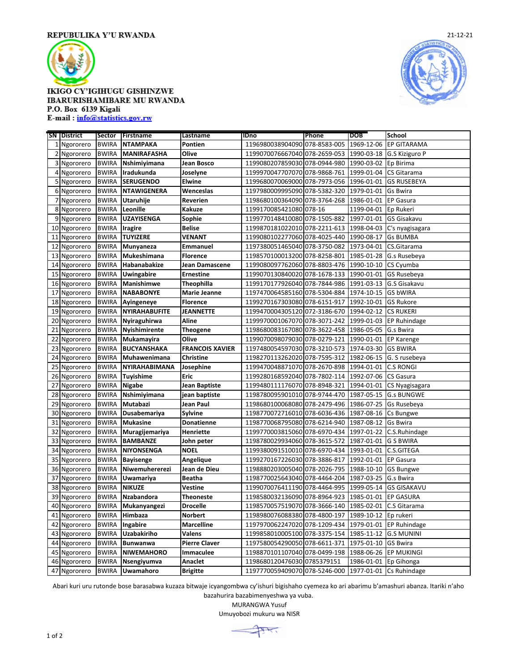

## **IKIGO CY'IGIHUGU GISHINZWE IBARURISHAMIBARE MU RWANDA** P.O. Box 6139 Kigali

E-mail: info@statistics.gov.rw





Abari kuri uru rutonde bose barasabwa kuzaza bitwaje icyangombwa cy'ishuri bigishaho cyemeza ko ari abarimu b'amashuri abanza. Itariki n'aho

 Ngororero BWIRA **Niwemuhererezi Jean de Dieu** 1198880203005040 078-2026-795 1988-10-10 GS Bungwe Ngororero BWIRA **Uwamariya Beatha** 1198770025643040 078-4464-204 1987-03-25 G.s Bwira Ngororero BWIRA **NIKUZE Vestine** 1199070076411190 078-4464-995 1999-05-14 GS GISAKAVU Ngororero BWIRA **Nzabandora Theoneste** 1198580032136090 078-8964-923 1985-01-01 EP GASURA Ngororero BWIRA **Mukanyangezi Drocelle** 1198570057519070 078-3666-140 1985-02-01 C.S Gitarama Ngororero BWIRA **Himbaza Norbert** 1198980076088380 078-4800-197 1989-10-12 Ep rukeri Ngororero BWIRA **Ingabire Marcelline** 1197970062247020 078-1209-434 1979-01-01 EP Ruhindage Ngororero BWIRA **Uzabakiriho Valens** 1199858010005100 078-3375-154 1985-11-12 G.S MUNINI Ngororero BWIRA **Bunwanwa Pierre Claver** 1197580054290050 078-6611-371 1975-01-10 GS Bwira Ngororero BWIRA **NIWEMAHORO Immaculee** 1198870101107040 078-0499-198 1988-06-26 EP MUKINGI Ngororero BWIRA **Nsengiyumva Anaclet** 1198680120476030 0785379151 1986-01-01 Ep Gihonga Ngororero BWIRA **Uwamahoro Brigitte** 1197770059409070 078-5246-000 1977-01-01 Cs Ruhindage

> bazahurira bazabimenyeshwa ya vuba. MURANGWA Yusuf Umuyobozi mukuru wa NISR